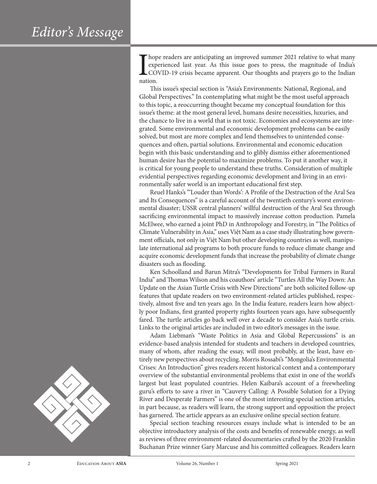

 $\begin{array}{c}\n\text{hop} \\
\text{exp} \\
\text{CO} \\
\text{ nation.}\n\end{array}$ hope readers are anticipating an improved summer 2021 relative to what many experienced last year. As this issue goes to press, the magnitude of India's COVID-19 crisis became apparent. Our thoughts and prayers go to the Indian

This issue's special section is "Asia's Environments: National, Regional, and Global Perspectives." In contemplating what might be the most useful approach to this topic, a reoccurring thought became my conceptual foundation for this issue's theme: at the most general level, humans desire necessities, luxuries, and the chance to live in a world that is not toxic. Economies and ecosystems are integrated. Some environmental and economic development problems can be easily solved, but most are more complex and lend themselves to unintended consequences and often, partial solutions. Environmental and economic education begin with this basic understanding and to glibly dismiss either aforementioned human desire has the potential to maximize problems. To put it another way, it is critical for young people to understand these truths. Consideration of multiple evidential perspectives regarding economic development and living in an environmentally safer world is an important educational first step.

Reuel Hanks's "'Louder than Words': A Profile of the Destruction of the Aral Sea and Its Consequences" is a careful account of the twentieth century's worst environmental disaster; USSR central planners' willful destruction of the Aral Sea through sacrificing environmental impact to massively increase cotton production. Pamela McElwee, who earned a joint PhD in Anthropology and Forestry, in "The Politics of Climate Vulnerability in Asia," uses Việt Nam as a case study illustrating how government officials, not only in Việt Nam but other developing countries as well, manipulate international aid programs to both procure funds to reduce climate change and acquire economic development funds that increase the probability of climate change disasters such as flooding.

Ken Schoolland and Barun Mitra's "Developments for Tribal Farmers in Rural India" and Thomas Wilson and his coauthors' article "Turtles All the Way Down: An Update on the Asian Turtle Crisis with New Directions" are both solicited follow-up features that update readers on two environment-related articles published, respectively, almost five and ten years ago. In the India feature, readers learn how abjectly poor Indians, first granted property rights fourteen years ago, have subsequently fared. The turtle articles go back well over a decade to consider Asia's turtle crisis. Links to the original articles are included in two editor's messages in the issue.

Adam Liebman's "Waste Politics in Asia and Global Repercussions" is an evidence-based analysis intended for students and teachers in developed countries, many of whom, after reading the essay, will most probably, at the least, have entirely new perspectives about recycling. Morris Rossabi's "Mongolia's Environmental Crises: An Introduction" gives readers recent historical context and a contemporary overview of the substantial environmental problems that exist in one of the world's largest but least populated countries. Helen Kaibara's account of a freewheeling guru's efforts to save a river in "Cauvery Calling: A Possible Solution for a Dying River and Desperate Farmers" is one of the most interesting special section articles, in part because, as readers will learn, the strong support and opposition the project has garnered. The article appears as an exclusive online special section feature.

Special section teaching resources essays include what is intended to be an objective introductory analysis of the costs and benefits of renewable energy, as well as reviews of three environment-related documentaries crafted by the 2020 Franklin Buchanan Prize winner Gary Marcuse and his committed colleagues. Readers learn